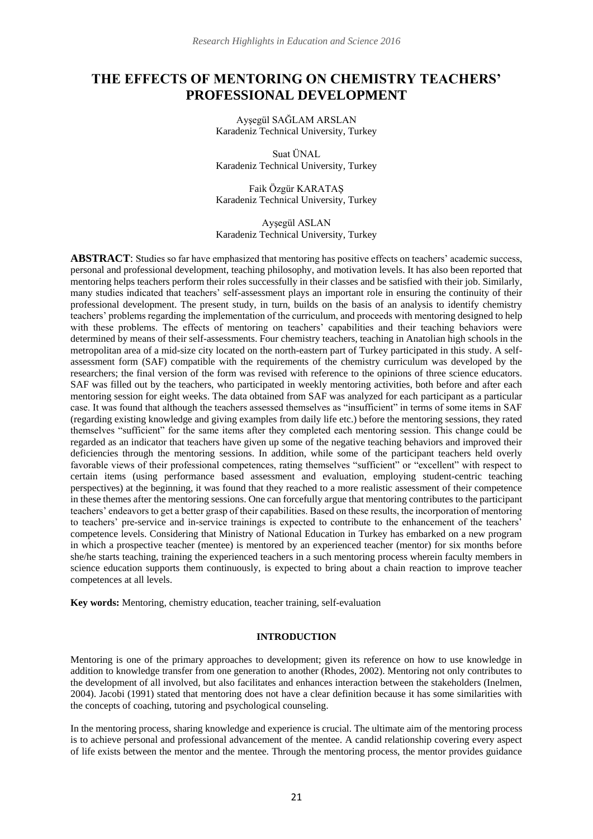# **THE EFFECTS OF MENTORING ON CHEMISTRY TEACHERS' PROFESSIONAL DEVELOPMENT**

Ayşegül SAĞLAM ARSLAN Karadeniz Technical University, Turkey

Suat ÜNAL Karadeniz Technical University, Turkey

Faik Özgür KARATAŞ Karadeniz Technical University, Turkey

Ayşegül ASLAN Karadeniz Technical University, Turkey

**ABSTRACT**: Studies so far have emphasized that mentoring has positive effects on teachers' academic success, personal and professional development, teaching philosophy, and motivation levels. It has also been reported that mentoring helps teachers perform their roles successfully in their classes and be satisfied with their job. Similarly, many studies indicated that teachers' self-assessment plays an important role in ensuring the continuity of their professional development. The present study, in turn, builds on the basis of an analysis to identify chemistry teachers' problems regarding the implementation of the curriculum, and proceeds with mentoring designed to help with these problems. The effects of mentoring on teachers' capabilities and their teaching behaviors were determined by means of their self-assessments. Four chemistry teachers, teaching in Anatolian high schools in the metropolitan area of a mid-size city located on the north-eastern part of Turkey participated in this study. A selfassessment form (SAF) compatible with the requirements of the chemistry curriculum was developed by the researchers; the final version of the form was revised with reference to the opinions of three science educators. SAF was filled out by the teachers, who participated in weekly mentoring activities, both before and after each mentoring session for eight weeks. The data obtained from SAF was analyzed for each participant as a particular case. It was found that although the teachers assessed themselves as "insufficient" in terms of some items in SAF (regarding existing knowledge and giving examples from daily life etc.) before the mentoring sessions, they rated themselves "sufficient" for the same items after they completed each mentoring session. This change could be regarded as an indicator that teachers have given up some of the negative teaching behaviors and improved their deficiencies through the mentoring sessions. In addition, while some of the participant teachers held overly favorable views of their professional competences, rating themselves "sufficient" or "excellent" with respect to certain items (using performance based assessment and evaluation, employing student-centric teaching perspectives) at the beginning, it was found that they reached to a more realistic assessment of their competence in these themes after the mentoring sessions. One can forcefully argue that mentoring contributes to the participant teachers' endeavors to get a better grasp of their capabilities. Based on these results, the incorporation of mentoring to teachers' pre-service and in-service trainings is expected to contribute to the enhancement of the teachers' competence levels. Considering that Ministry of National Education in Turkey has embarked on a new program in which a prospective teacher (mentee) is mentored by an experienced teacher (mentor) for six months before she/he starts teaching, training the experienced teachers in a such mentoring process wherein faculty members in science education supports them continuously, is expected to bring about a chain reaction to improve teacher competences at all levels.

**Key words:** Mentoring, chemistry education, teacher training, self-evaluation

# **INTRODUCTION**

Mentoring is one of the primary approaches to development; given its reference on how to use knowledge in addition to knowledge transfer from one generation to another (Rhodes, 2002). Mentoring not only contributes to the development of all involved, but also facilitates and enhances interaction between the stakeholders (Inelmen, 2004). Jacobi (1991) stated that mentoring does not have a clear definition because it has some similarities with the concepts of coaching, tutoring and psychological counseling.

In the mentoring process, sharing knowledge and experience is crucial. The ultimate aim of the mentoring process is to achieve personal and professional advancement of the mentee. A candid relationship covering every aspect of life exists between the mentor and the mentee. Through the mentoring process, the mentor provides guidance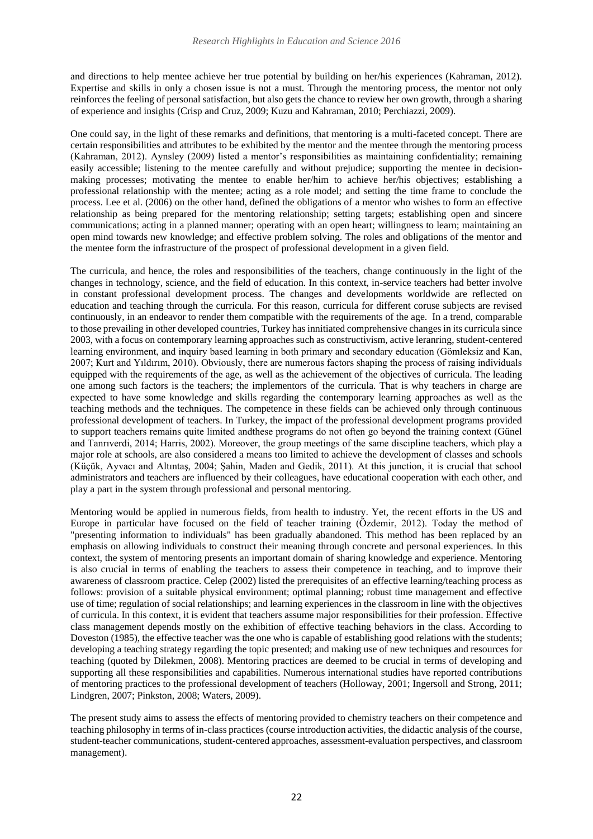and directions to help mentee achieve her true potential by building on her/his experiences (Kahraman, 2012). Expertise and skills in only a chosen issue is not a must. Through the mentoring process, the mentor not only reinforces the feeling of personal satisfaction, but also gets the chance to review her own growth, through a sharing of experience and insights (Crisp and Cruz, 2009; Kuzu and Kahraman, 2010; Perchiazzi, 2009).

One could say, in the light of these remarks and definitions, that mentoring is a multi-faceted concept. There are certain responsibilities and attributes to be exhibited by the mentor and the mentee through the mentoring process (Kahraman, 2012). Aynsley (2009) listed a mentor's responsibilities as maintaining confidentiality; remaining easily accessible; listening to the mentee carefully and without prejudice; supporting the mentee in decisionmaking processes; motivating the mentee to enable her/him to achieve her/his objectives; establishing a professional relationship with the mentee; acting as a role model; and setting the time frame to conclude the process. Lee et al. (2006) on the other hand, defined the obligations of a mentor who wishes to form an effective relationship as being prepared for the mentoring relationship; setting targets; establishing open and sincere communications; acting in a planned manner; operating with an open heart; willingness to learn; maintaining an open mind towards new knowledge; and effective problem solving. The roles and obligations of the mentor and the mentee form the infrastructure of the prospect of professional development in a given field.

The curricula, and hence, the roles and responsibilities of the teachers, change continuously in the light of the changes in technology, science, and the field of education. In this context, in-service teachers had better involve in constant professional development process. The changes and developments worldwide are reflected on education and teaching through the curricula. For this reason, curricula for different coruse subjects are revised continuously, in an endeavor to render them compatible with the requirements of the age. In a trend, comparable to those prevailing in other developed countries, Turkey has innitiated comprehensive changes in its curricula since 2003, with a focus on contemporary learning approaches such as constructivism, active leranring, student-centered learning environment, and inquiry based learning in both primary and secondary education (Gömleksiz and Kan, 2007; Kurt and Yıldırım, 2010). Obviously, there are numerous factors shaping the process of raising individuals equipped with the requirements of the age, as well as the achievement of the objectives of curricula. The leading one among such factors is the teachers; the implementors of the curricula. That is why teachers in charge are expected to have some knowledge and skills regarding the contemporary learning approaches as well as the teaching methods and the techniques. The competence in these fields can be achieved only through continuous professional development of teachers. In Turkey, the impact of the professional development programs provided to support teachers remains quite limited andthese programs do not often go beyond the training context (Günel and Tanrıverdi, 2014; Harris, 2002). Moreover, the group meetings of the same discipline teachers, which play a major role at schools, are also considered a means too limited to achieve the development of classes and schools (Küçük, Ayvacı and Altıntaş, 2004; Şahin, Maden and Gedik, 2011). At this junction, it is crucial that school administrators and teachers are influenced by their colleagues, have educational cooperation with each other, and play a part in the system through professional and personal mentoring.

Mentoring would be applied in numerous fields, from health to industry. Yet, the recent efforts in the US and Europe in particular have focused on the field of teacher training (Özdemir, 2012). Today the method of "presenting information to individuals" has been gradually abandoned. This method has been replaced by an emphasis on allowing individuals to construct their meaning through concrete and personal experiences. In this context, the system of mentoring presents an important domain of sharing knowledge and experience. Mentoring is also crucial in terms of enabling the teachers to assess their competence in teaching, and to improve their awareness of classroom practice. Celep (2002) listed the prerequisites of an effective learning/teaching process as follows: provision of a suitable physical environment; optimal planning; robust time management and effective use of time; regulation of social relationships; and learning experiences in the classroom in line with the objectives of curricula. In this context, it is evident that teachers assume major responsibilities for their profession. Effective class management depends mostly on the exhibition of effective teaching behaviors in the class. According to Doveston (1985), the effective teacher was the one who is capable of establishing good relations with the students; developing a teaching strategy regarding the topic presented; and making use of new techniques and resources for teaching (quoted by Dilekmen, 2008). Mentoring practices are deemed to be crucial in terms of developing and supporting all these responsibilities and capabilities. Numerous international studies have reported contributions of mentoring practices to the professional development of teachers (Holloway, 2001; Ingersoll and Strong, 2011; Lindgren, 2007; Pinkston, 2008; Waters, 2009).

The present study aims to assess the effects of mentoring provided to chemistry teachers on their competence and teaching philosophy in terms of in-class practices (course introduction activities, the didactic analysis of the course, student-teacher communications, student-centered approaches, assessment-evaluation perspectives, and classroom management).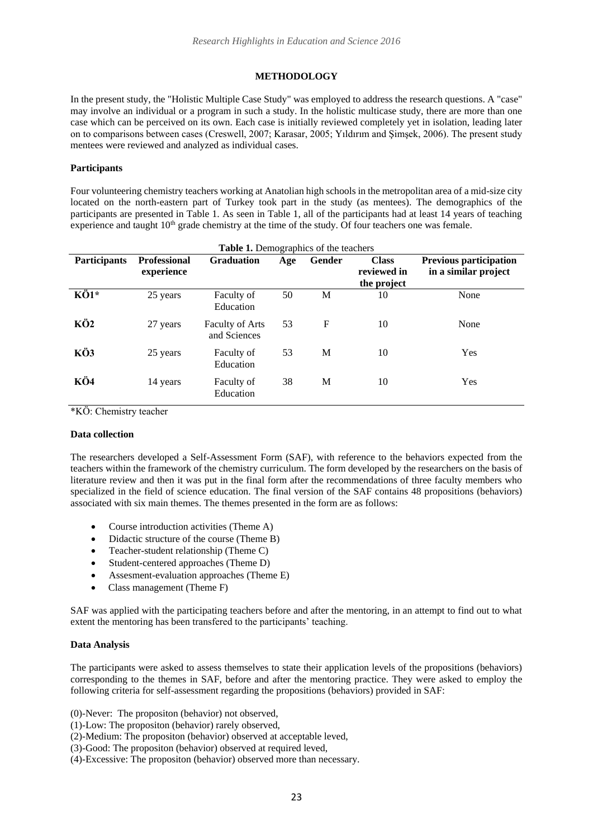#### **METHODOLOGY**

In the present study, the "Holistic Multiple Case Study" was employed to address the research questions. A "case" may involve an individual or a program in such a study. In the holistic multicase study, there are more than one case which can be perceived on its own. Each case is initially reviewed completely yet in isolation, leading later on to comparisons between cases (Creswell, 2007; Karasar, 2005; Yıldırım and Şimşek, 2006). The present study mentees were reviewed and analyzed as individual cases.

## **Participants**

Four volunteering chemistry teachers working at Anatolian high schools in the metropolitan area of a mid-size city located on the north-eastern part of Turkey took part in the study (as mentees). The demographics of the participants are presented in Table 1. As seen in Table 1, all of the participants had at least 14 years of teaching experience and taught  $10<sup>th</sup>$  grade chemistry at the time of the study. Of four teachers one was female.

| <b>Table 1.</b> Demographics of the teachers |                                   |                                        |     |        |                                            |                                                       |
|----------------------------------------------|-----------------------------------|----------------------------------------|-----|--------|--------------------------------------------|-------------------------------------------------------|
| <b>Participants</b>                          | <b>Professional</b><br>experience | <b>Graduation</b>                      | Age | Gender | <b>Class</b><br>reviewed in<br>the project | <b>Previous participation</b><br>in a similar project |
| KÖ1*                                         | 25 years                          | Faculty of<br>Education                | 50  | M      | 10                                         | None                                                  |
| KÖ <sub>2</sub>                              | 27 years                          | <b>Faculty of Arts</b><br>and Sciences | 53  | F      | 10                                         | None                                                  |
| KÖ3                                          | 25 years                          | Faculty of<br>Education                | 53  | M      | 10                                         | Yes                                                   |
| KÖ4                                          | 14 years                          | Faculty of<br>Education                | 38  | M      | 10                                         | Yes                                                   |

\*KÖ: Chemistry teacher

## **Data collection**

The researchers developed a Self-Assessment Form (SAF), with reference to the behaviors expected from the teachers within the framework of the chemistry curriculum. The form developed by the researchers on the basis of literature review and then it was put in the final form after the recommendations of three faculty members who specialized in the field of science education. The final version of the SAF contains 48 propositions (behaviors) associated with six main themes. The themes presented in the form are as follows:

- Course introduction activities (Theme A)
- Didactic structure of the course (Theme B)
- Teacher-student relationship (Theme C)
- Student-centered approaches (Theme D)
- Assesment-evaluation approaches (Theme E)
- Class management (Theme F)

SAF was applied with the participating teachers before and after the mentoring, in an attempt to find out to what extent the mentoring has been transfered to the participants' teaching.

# **Data Analysis**

The participants were asked to assess themselves to state their application levels of the propositions (behaviors) corresponding to the themes in SAF, before and after the mentoring practice. They were asked to employ the following criteria for self-assessment regarding the propositions (behaviors) provided in SAF:

(0)-Never: The propositon (behavior) not observed,

(1)-Low: The propositon (behavior) rarely observed,

(2)-Medium: The propositon (behavior) observed at acceptable leved,

(3)-Good: The propositon (behavior) observed at required leved,

(4)-Excessive: The propositon (behavior) observed more than necessary.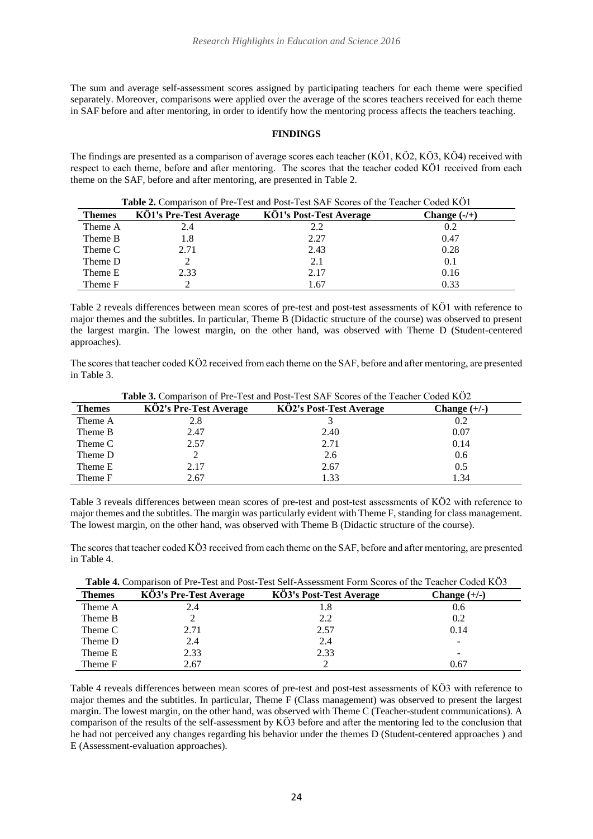The sum and average self-assessment scores assigned by participating teachers for each theme were specified separately. Moreover, comparisons were applied over the average of the scores teachers received for each theme in SAF before and after mentoring, in order to identify how the mentoring process affects the teachers teaching.

#### **FINDINGS**

The findings are presented as a comparison of average scores each teacher (KÖ1, KÖ2, KÖ3, KÖ4) received with respect to each theme, before and after mentoring. The scores that the teacher coded KÖ1 received from each theme on the SAF, before and after mentoring, are presented in Table 2.

| <b>Table 2.</b> Comparison of Pre-Test and Post-Test SAF Scores of the Teacher Coded KO1 |                               |                                |                |  |
|------------------------------------------------------------------------------------------|-------------------------------|--------------------------------|----------------|--|
| <b>Themes</b>                                                                            | <b>KÖ1's Pre-Test Average</b> | <b>KÖ1's Post-Test Average</b> | Change $(-/+)$ |  |
| Theme A                                                                                  | 2.4                           | 2.2                            | 0.2            |  |
| Theme B                                                                                  | 1.8                           | 2.27                           | 0.47           |  |
| Theme C                                                                                  | 2.71                          | 2.43                           | 0.28           |  |
| Theme D                                                                                  |                               | 2.1                            | 0.1            |  |
| Theme E                                                                                  | 2.33                          | 2.17                           | 0.16           |  |
| Theme F                                                                                  |                               | 1.67                           | 0.33           |  |

Table 2 reveals differences between mean scores of pre-test and post-test assessments of KÖ1 with reference to major themes and the subtitles. In particular, Theme B (Didactic structure of the course) was observed to present the largest margin. The lowest margin, on the other hand, was observed with Theme D (Student-centered approaches).

The scores that teacher coded KÖ2 received from each theme on the SAF, before and after mentoring, are presented in Table 3.

| <b>Themes</b> | <b>KÖ2's Pre-Test Average</b> | <b>KÖ2's Post-Test Average</b> | Change $(+/-)$ |
|---------------|-------------------------------|--------------------------------|----------------|
| Theme A       | 2.8                           |                                | 0.2            |
| Theme B       | 2.47                          | 2.40                           | 0.07           |
| Theme C       | 2.57                          | 2.71                           | 0.14           |
| Theme D       |                               | 2.6                            | 0.6            |
| Theme E       | 2.17                          | 2.67                           | 0.5            |
| Theme F       | 2.67                          | 1.33                           | 1.34           |

**Table 3.** Comparison of Pre-Test and Post-Test SAF Scores of the Teacher Coded KÖ2

Table 3 reveals differences between mean scores of pre-test and post-test assessments of KÖ2 with reference to major themes and the subtitles. The margin was particularly evident with Theme F, standing for class management. The lowest margin, on the other hand, was observed with Theme B (Didactic structure of the course).

The scores that teacher coded KÖ3 received from each theme on the SAF, before and after mentoring, are presented in Table 4.

| <b>Themes</b> | KÖ3's Pre-Test Average | <b>KÖ3's Post-Test Average</b> | Change $(+/-)$ |  |
|---------------|------------------------|--------------------------------|----------------|--|
| Theme A       | 2.4                    | 1.8                            | 0.6            |  |
| Theme B       |                        | 2.2                            | 0.2            |  |
| Theme C       | 2.71                   | 2.57                           | 0.14           |  |
| Theme D       | 2.4                    | 2.4                            | -              |  |
| Theme E       | 2.33                   | 2.33                           |                |  |
| Theme F       | 2.67                   |                                | 0.67           |  |

**Table 4.** Comparison of Pre-Test and Post-Test Self-Assessment Form Scores of the Teacher Coded KÖ3

Table 4 reveals differences between mean scores of pre-test and post-test assessments of KÖ3 with reference to major themes and the subtitles. In particular, Theme F (Class management) was observed to present the largest margin. The lowest margin, on the other hand, was observed with Theme C (Teacher-student communications). A comparison of the results of the self-assessment by KÖ3 before and after the mentoring led to the conclusion that he had not perceived any changes regarding his behavior under the themes D (Student-centered approaches ) and E (Assessment-evaluation approaches).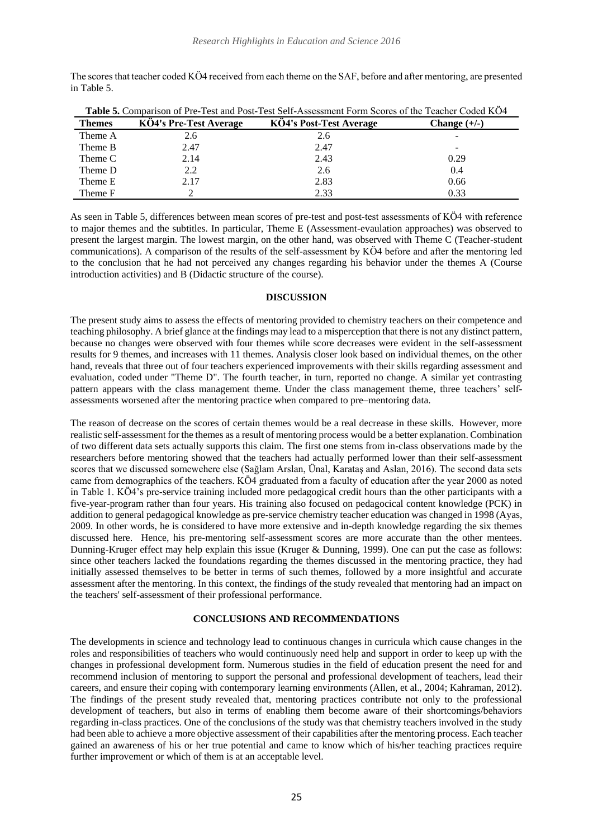The scores that teacher coded KÖ4 received from each theme on the SAF, before and after mentoring, are presented in Table 5.

| <b>Themes</b> | <b>KÖ4's Pre-Test Average</b> | <b>KÖ4's Post-Test Average</b> | Change $(+/-)$ |
|---------------|-------------------------------|--------------------------------|----------------|
| Theme A       | 2.6                           | 2.6                            |                |
| Theme B       | 2.47                          | 2.47                           |                |
| Theme C       | 2.14                          | 2.43                           | 0.29           |
| Theme D       | 2.2                           | 2.6                            | 0.4            |
| Theme E       | 2.17                          | 2.83                           | 0.66           |
| Theme F       |                               | 2.33                           | 0.33           |

**Table 5.** Comparison of Pre-Test and Post-Test Self-Assessment Form Scores of the Teacher Coded KÖ4

As seen in Table 5, differences between mean scores of pre-test and post-test assessments of KÖ4 with reference to major themes and the subtitles. In particular, Theme E (Assessment-evaulation approaches) was observed to present the largest margin. The lowest margin, on the other hand, was observed with Theme C (Teacher-student communications). A comparison of the results of the self-assessment by KÖ4 before and after the mentoring led to the conclusion that he had not perceived any changes regarding his behavior under the themes A (Course introduction activities) and B (Didactic structure of the course).

## **DISCUSSION**

The present study aims to assess the effects of mentoring provided to chemistry teachers on their competence and teaching philosophy. A brief glance at the findings may lead to a misperception that there is not any distinct pattern, because no changes were observed with four themes while score decreases were evident in the self-assessment results for 9 themes, and increases with 11 themes. Analysis closer look based on individual themes, on the other hand, reveals that three out of four teachers experienced improvements with their skills regarding assessment and evaluation, coded under "Theme D". The fourth teacher, in turn, reported no change. A similar yet contrasting pattern appears with the class management theme. Under the class management theme, three teachers' selfassessments worsened after the mentoring practice when compared to pre–mentoring data.

The reason of decrease on the scores of certain themes would be a real decrease in these skills. However, more realistic self-assessment for the themes as a result of mentoring process would be a better explanation. Combination of two different data sets actually supports this claim. The first one stems from in-class observations made by the researchers before mentoring showed that the teachers had actually performed lower than their self-assessment scores that we discussed somewehere else (Sağlam Arslan, Ünal, Karataş and Aslan, 2016). The second data sets came from demographics of the teachers. KÖ4 graduated from a faculty of education after the year 2000 as noted in Table 1. KÖ4's pre-service training included more pedagogical credit hours than the other participants with a five-year-program rather than four years. His training also focused on pedagocical content knowledge (PCK) in addition to general pedagogical knowledge as pre-service chemistry teacher education was changed in 1998 (Ayas, 2009. In other words, he is considered to have more extensive and in-depth knowledge regarding the six themes discussed here. Hence, his pre-mentoring self-assessment scores are more accurate than the other mentees. Dunning-Kruger effect may help explain this issue (Kruger & Dunning, 1999). One can put the case as follows: since other teachers lacked the foundations regarding the themes discussed in the mentoring practice, they had initially assessed themselves to be better in terms of such themes, followed by a more insightful and accurate assessment after the mentoring. In this context, the findings of the study revealed that mentoring had an impact on the teachers' self-assessment of their professional performance.

# **CONCLUSIONS AND RECOMMENDATIONS**

The developments in science and technology lead to continuous changes in curricula which cause changes in the roles and responsibilities of teachers who would continuously need help and support in order to keep up with the changes in professional development form. Numerous studies in the field of education present the need for and recommend inclusion of mentoring to support the personal and professional development of teachers, lead their careers, and ensure their coping with contemporary learning environments (Allen, et al., 2004; Kahraman, 2012). The findings of the present study revealed that, mentoring practices contribute not only to the professional development of teachers, but also in terms of enabling them become aware of their shortcomings/behaviors regarding in-class practices. One of the conclusions of the study was that chemistry teachers involved in the study had been able to achieve a more objective assessment of their capabilities after the mentoring process. Each teacher gained an awareness of his or her true potential and came to know which of his/her teaching practices require further improvement or which of them is at an acceptable level.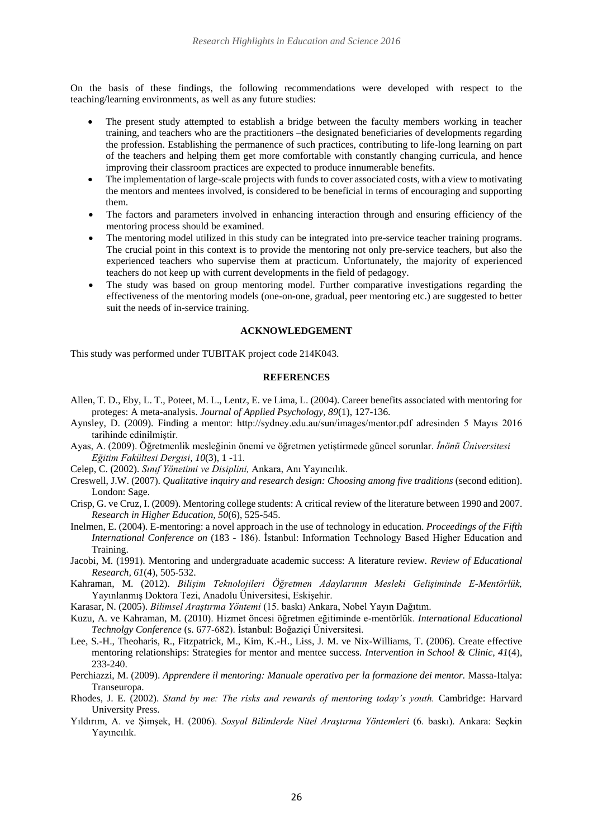On the basis of these findings, the following recommendations were developed with respect to the teaching/learning environments, as well as any future studies:

- The present study attempted to establish a bridge between the faculty members working in teacher training, and teachers who are the practitioners –the designated beneficiaries of developments regarding the profession. Establishing the permanence of such practices, contributing to life-long learning on part of the teachers and helping them get more comfortable with constantly changing curricula, and hence improving their classroom practices are expected to produce innumerable benefits.
- The implementation of large-scale projects with funds to cover associated costs, with a view to motivating the mentors and mentees involved, is considered to be beneficial in terms of encouraging and supporting them.
- The factors and parameters involved in enhancing interaction through and ensuring efficiency of the mentoring process should be examined.
- The mentoring model utilized in this study can be integrated into pre-service teacher training programs. The crucial point in this context is to provide the mentoring not only pre-service teachers, but also the experienced teachers who supervise them at practicum. Unfortunately, the majority of experienced teachers do not keep up with current developments in the field of pedagogy.
- The study was based on group mentoring model. Further comparative investigations regarding the effectiveness of the mentoring models (one-on-one, gradual, peer mentoring etc.) are suggested to better suit the needs of in-service training.

#### **ACKNOWLEDGEMENT**

This study was performed under TUBITAK project code 214K043.

#### **REFERENCES**

- Allen, T. D., Eby, L. T., Poteet, M. L., Lentz, E. ve Lima, L. (2004). Career benefits associated with mentoring for proteges: A meta-analysis. *Journal of Applied Psychology, 89*(1), 127-136.
- Aynsley, D. (2009). Finding a mentor: http://sydney.edu.au/sun/images/mentor.pdf adresinden 5 Mayıs 2016 tarihinde edinilmiştir.
- Ayas, A. (2009). Öğretmenlik mesleğinin önemi ve öğretmen yetiştirmede güncel sorunlar. *İnönü Üniversitesi Eğitim Fakültesi Dergisi*, *10*(3), 1 -11.
- Celep, C. (2002). *Sınıf Yönetimi ve Disiplini,* Ankara, Anı Yayıncılık.
- Creswell, J.W. (2007). *Qualitative inquiry and research design: Choosing among five traditions* (second edition). London: Sage.
- Crisp, G. ve Cruz, I. (2009). Mentoring college students: A critical review of the literature between 1990 and 2007. *Research in Higher Education, 50*(6), 525-545.
- Inelmen, E. (2004). E-mentoring: a novel approach in the use of technology in education. *Proceedings of the Fifth International Conference on* (183 - 186). İstanbul: Information Technology Based Higher Education and Training.
- Jacobi, M. (1991). Mentoring and undergraduate academic success: A literature review. *Review of Educational Research, 61*(4), 505-532.
- Kahraman, M. (2012). *Bilişim Teknolojileri Öğretmen Adaylarının Mesleki Gelişiminde E-Mentörlük,* Yayınlanmış Doktora Tezi, Anadolu Üniversitesi, Eskişehir.
- Karasar, N. (2005). *Bilimsel Araştırma Yöntemi* (15. baskı) Ankara, Nobel Yayın Dağıtım.
- Kuzu, A. ve Kahraman, M. (2010). Hizmet öncesi öğretmen eğitiminde e-mentörlük. *International Educational Technolgy Conference* (s. 677-682). İstanbul: Boğaziçi Üniversitesi.
- Lee, S.-H., Theoharis, R., Fitzpatrick, M., Kim, K.-H., Liss, J. M. ve Nix-Williams, T. (2006). Create effective mentoring relationships: Strategies for mentor and mentee success. *Intervention in School & Clinic, 41*(4), 233-240.
- Perchiazzi, M. (2009). *Apprendere il mentoring: Manuale operativo per la formazione dei mentor.* Massa-Italya: Transeuropa.
- Rhodes, J. E. (2002). *Stand by me: The risks and rewards of mentoring today's youth.* Cambridge: Harvard University Press.
- Yıldırım, A. ve Şimşek, H. (2006). *Sosyal Bilimlerde Nitel Araştırma Yöntemleri* (6. baskı). Ankara: Seçkin Yayıncılık.